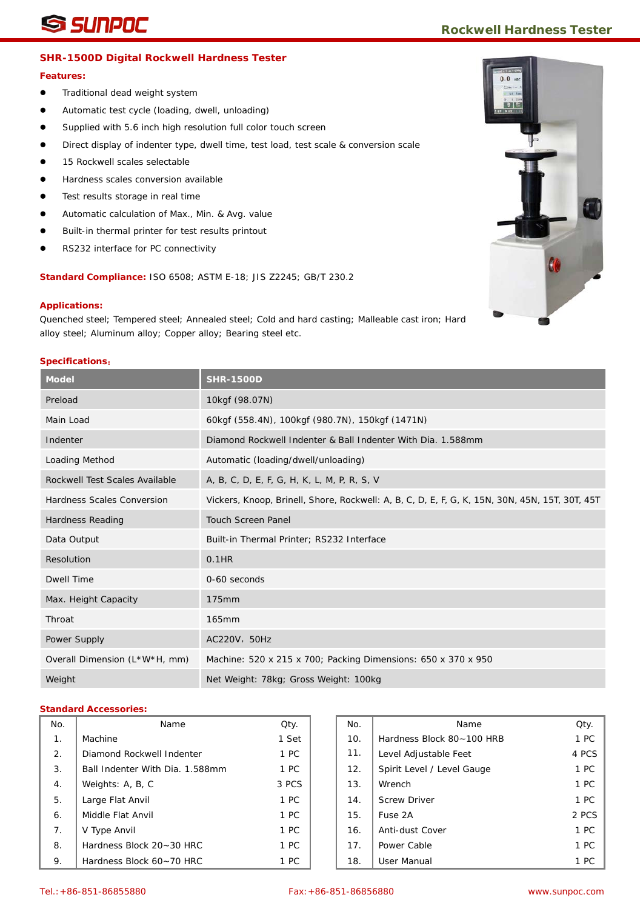## **SHR-1500D Digital Rockwell Hardness Tester**

#### **Features:**

- **•** Traditional dead weight system
- Automatic test cycle (loading, dwell, unloading)
- Supplied with 5.6 inch high resolution full color touch screen
- **Direct display of indenter type, dwell time, test load, test scale & conversion scale**
- 15 Rockwell scales selectable
- Hardness scales conversion available
- Test results storage in real time
- Automatic calculation of Max., Min. & Avg. value
- Built-in thermal printer for test results printout
- RS232 interface for PC connectivity

**Standard Compliance:** ISO 6508; ASTM E-18; JIS Z2245; GB/T 230.2

#### **Applications:**

Quenched steel; Tempered steel; Annealed steel; Cold and hard casting; Malleable cast iron; Hard alloy steel; Aluminum alloy; Copper alloy; Bearing steel etc.

#### **Specifications**:

| <b>Model</b>                   | <b>SHR-1500D</b>                                                                               |
|--------------------------------|------------------------------------------------------------------------------------------------|
| Preload                        | 10kgf (98.07N)                                                                                 |
| Main Load                      | 60kgf (558.4N), 100kgf (980.7N), 150kgf (1471N)                                                |
| Indenter                       | Diamond Rockwell Indenter & Ball Indenter With Dia. 1.588mm                                    |
| Loading Method                 | Automatic (loading/dwell/unloading)                                                            |
| Rockwell Test Scales Available | A, B, C, D, E, F, G, H, K, L, M, P, R, S, V                                                    |
| Hardness Scales Conversion     | Vickers, Knoop, Brinell, Shore, Rockwell: A, B, C, D, E, F, G, K, 15N, 30N, 45N, 15T, 30T, 45T |
| Hardness Reading               | <b>Touch Screen Panel</b>                                                                      |
| Data Output                    | Built-in Thermal Printer; RS232 Interface                                                      |
| Resolution                     | $0.1$ HR                                                                                       |
| Dwell Time                     | $0-60$ seconds                                                                                 |
| Max. Height Capacity           | 175mm                                                                                          |
| Throat                         | 165mm                                                                                          |
| Power Supply                   | AC220V, 50Hz                                                                                   |
| Overall Dimension (L*W*H, mm)  | Machine: 520 x 215 x 700; Packing Dimensions: 650 x 370 x 950                                  |
| Weight                         | Net Weight: 78kg; Gross Weight: 100kg                                                          |

| No.            | Name                            | Qty.  | No. | Name                       | Qty.           |
|----------------|---------------------------------|-------|-----|----------------------------|----------------|
| $\mathbf{1}$ . | Machine                         | 1 Set | 10. | Hardness Block 80~100 HRB  | 1 <sup>2</sup> |
| 2.             | Diamond Rockwell Indenter       | 1 PC  | 11. | Level Adjustable Feet      | 4 PC           |
| 3.             | Ball Indenter With Dia. 1.588mm | 1 PC  | 12. | Spirit Level / Level Gauge | 1 <sub>P</sub> |
| 4.             | Weights: A, B, C                | 3 PCS | 13. | Wrench                     | 1 <sup>2</sup> |
| 5.             | Large Flat Anvil                | 1 PC  | 14. | <b>Screw Driver</b>        | 1 <sup>2</sup> |
| 6.             | Middle Flat Anvil               | 1 PC  | 15. | Fuse 2A                    | 2 PC           |
| 7.             | V Type Anvil                    | 1 PC  | 16. | Anti-dust Cover            | 1 <sup>2</sup> |
| 8.             | Hardness Block 20~30 HRC        | 1 PC  | 17. | Power Cable                | 1 <sub>P</sub> |
| 9.             | Hardness Block 60~70 HRC        | 1 PC  | 18. | <b>User Manual</b>         | 1 <sub>P</sub> |

| ١o.              | Name                            | Qty.  | No. | Name                       | Qty.  |
|------------------|---------------------------------|-------|-----|----------------------------|-------|
| 1.               | Machine                         | 1 Set | 10. | Hardness Block 80~100 HRB  | 1 PC  |
| $\overline{2}$ . | Diamond Rockwell Indenter       | 1 PC  | 11. | Level Adjustable Feet      | 4 PCS |
| 3.               | Ball Indenter With Dia. 1.588mm | 1 PC  | 12. | Spirit Level / Level Gauge | 1 PC  |
| 4.               | Weights: A, B, C                | 3 PCS | 13. | Wrench                     | 1 PC  |
| 5.               | Large Flat Anvil                | 1 PC  | 14. | <b>Screw Driver</b>        | 1 PC  |
| 6.               | Middle Flat Anvil               | 1 PC  | 15. | Fuse 2A                    | 2 PCS |
| 7.               | V Type Anvil                    | 1 PC  | 16. | Anti-dust Cover            | 1 PC  |
| 8.               | Hardness Block 20~30 HRC        | 1 PC  | 17. | Power Cable                | 1 PC  |
| 9.               | Hardness Block 60~70 HRC        | 1 PC  | 18. | <b>User Manual</b>         | 1 PC  |

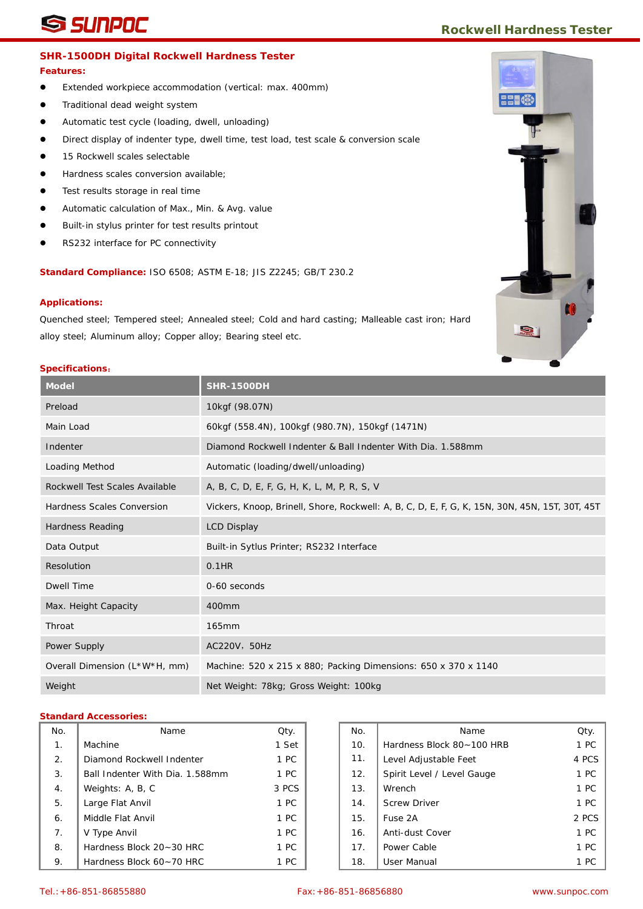# **SUNPOC Rockwell Hardness Tester**

## **SHR-1500DH Digital Rockwell Hardness Tester**

### **Features:**

- Extended workpiece accommodation (vertical: max. 400mm)
- **•** Traditional dead weight system
- Automatic test cycle (loading, dwell, unloading)
- Direct display of indenter type, dwell time, test load, test scale & conversion scale
- 15 Rockwell scales selectable
- Hardness scales conversion available;
- Test results storage in real time
- Automatic calculation of Max., Min. & Avg. value
- Built-in stylus printer for test results printout
- RS232 interface for PC connectivity

**Standard Compliance:** ISO 6508; ASTM E-18; JIS Z2245; GB/T 230.2

#### **Applications:**

Quenched steel; Tempered steel; Annealed steel; Cold and hard casting; Malleable cast iron; Hard alloy steel; Aluminum alloy; Copper alloy; Bearing steel etc.

## **Specifications**:

| <b>Model</b>                   | <b>SHR-1500DH</b>                                                                              |
|--------------------------------|------------------------------------------------------------------------------------------------|
| Preload                        | 10kgf (98.07N)                                                                                 |
| Main Load                      | 60kgf (558.4N), 100kgf (980.7N), 150kgf (1471N)                                                |
| Indenter                       | Diamond Rockwell Indenter & Ball Indenter With Dia. 1.588mm                                    |
| Loading Method                 | Automatic (loading/dwell/unloading)                                                            |
| Rockwell Test Scales Available | A, B, C, D, E, F, G, H, K, L, M, P, R, S, V                                                    |
| Hardness Scales Conversion     | Vickers, Knoop, Brinell, Shore, Rockwell: A, B, C, D, E, F, G, K, 15N, 30N, 45N, 15T, 30T, 45T |
| Hardness Reading               | <b>LCD Display</b>                                                                             |
| Data Output                    | Built-in Sytlus Printer; RS232 Interface                                                       |
| Resolution                     | 0.1HR                                                                                          |
| <b>Dwell Time</b>              | 0-60 seconds                                                                                   |
| Max. Height Capacity           | 400mm                                                                                          |
| Throat                         | 165mm                                                                                          |
| Power Supply                   | AC220V, 50Hz                                                                                   |
| Overall Dimension (L*W*H, mm)  | Machine: 520 x 215 x 880; Packing Dimensions: 650 x 370 x 1140                                 |
| Weight                         | Net Weight: 78kg; Gross Weight: 100kg                                                          |

| No.            | Name                            | Qty.  | No. | Name                       | Qty.           |
|----------------|---------------------------------|-------|-----|----------------------------|----------------|
| 1.             | Machine                         | 1 Set | 10. | Hardness Block 80~100 HRB  | 1 <sub>P</sub> |
| 2.             | Diamond Rockwell Indenter       | 1 PC  | 11. | Level Adjustable Feet      | 4 PC           |
| 3.             | Ball Indenter With Dia. 1.588mm | 1 PC  | 12. | Spirit Level / Level Gauge | 1 <sub>P</sub> |
| 4.             | Weights: A, B, C                | 3 PCS | 13. | Wrench                     | 1 <sub>P</sub> |
| 5.             | Large Flat Anvil                | 1 PC  | 14. | <b>Screw Driver</b>        | 1 <sub>P</sub> |
| 6.             | Middle Flat Anvil               | 1 PC  | 15. | Fuse 2A                    | 2 PC           |
| 7 <sub>1</sub> | V Type Anvil                    | 1 PC  | 16. | Anti-dust Cover            | 1 <sub>P</sub> |
| 8.             | Hardness Block 20~30 HRC        | 1 PC  | 17. | Power Cable                | 1 <sub>P</sub> |
| 9.             | Hardness Block 60~70 HRC        | 1 PC  | 18. | <b>User Manual</b>         | 1 <sub>P</sub> |

| ٧o.            | Name                            | Qty.  | No. | Name                       | Qty.  |
|----------------|---------------------------------|-------|-----|----------------------------|-------|
| 1 <sub>1</sub> | Machine                         | 1 Set | 10. | Hardness Block 80~100 HRB  | 1 PC  |
| 2.             | Diamond Rockwell Indenter       | 1 PC  | 11. | Level Adjustable Feet      | 4 PCS |
| 3.             | Ball Indenter With Dia. 1.588mm | 1 PC  | 12. | Spirit Level / Level Gauge | 1 PC  |
| 4.             | Weights: A, B, C                | 3 PCS | 13. | Wrench                     | 1 PC  |
| 5.             | Large Flat Anvil                | 1 PC  | 14. | <b>Screw Driver</b>        | 1 PC  |
| 6.             | Middle Flat Anvil               | 1 PC  | 15. | Fuse 2A                    | 2 PCS |
| 7.             | V Type Anvil                    | 1 PC  | 16. | Anti-dust Cover            | 1 PC  |
| 8.             | Hardness Block 20~30 HRC        | 1 PC  | 17. | Power Cable                | 1 PC  |
| 9.             | Hardness Block 60~70 HRC        | 1 PC  | 18. | User Manual                | 1 PC  |



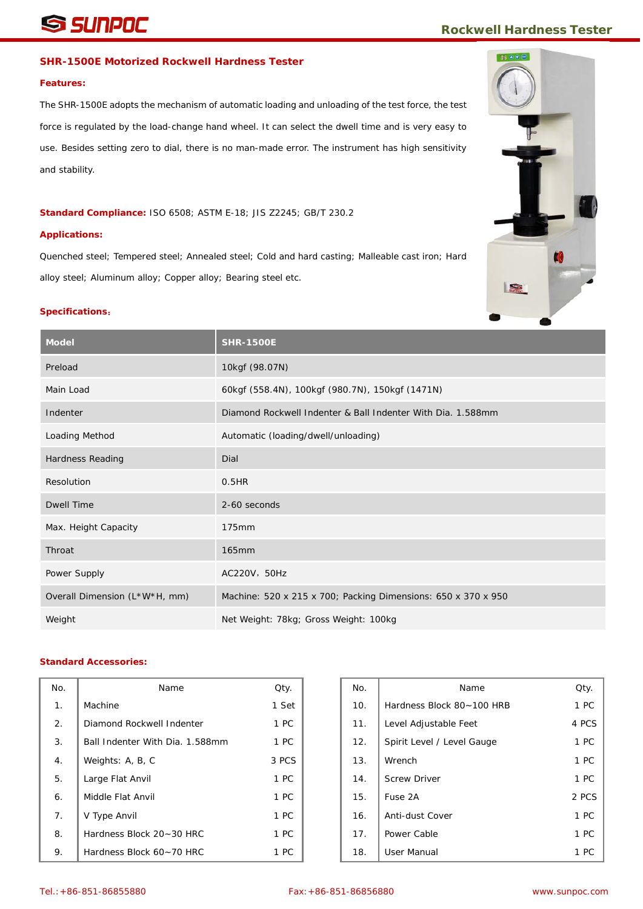# **SUNPOC Rockwell Hardness Tester**

# **SHR-1500E Motorized Rockwell Hardness Tester**

#### **Features:**

The SHR-1500E adopts the mechanism of automatic loading and unloading of the test force, the test force is regulated by the load-change hand wheel. It can select the dwell time and is very easy to use. Besides setting zero to dial, there is no man-made error. The instrument has high sensitivity and stability.

### **Standard Compliance:** ISO 6508; ASTM E-18; JIS Z2245; GB/T 230.2

#### **Applications:**

Quenched steel; Tempered steel; Annealed steel; Cold and hard casting; Malleable cast iron; Hard alloy steel; Aluminum alloy; Copper alloy; Bearing steel etc.

#### **Specifications**:

| <b>Model</b>                  | <b>SHR-1500E</b>                                              |
|-------------------------------|---------------------------------------------------------------|
| Preload                       | 10kgf (98.07N)                                                |
| Main Load                     | 60kgf (558.4N), 100kgf (980.7N), 150kgf (1471N)               |
| Indenter                      | Diamond Rockwell Indenter & Ball Indenter With Dia, 1.588mm   |
| Loading Method                | Automatic (loading/dwell/unloading)                           |
| Hardness Reading              | Dial                                                          |
| Resolution                    | 0.5HR                                                         |
| <b>Dwell Time</b>             | 2-60 seconds                                                  |
| Max. Height Capacity          | 175mm                                                         |
| Throat                        | 165mm                                                         |
| Power Supply                  | AC220V, 50Hz                                                  |
| Overall Dimension (L*W*H, mm) | Machine: 520 x 215 x 700; Packing Dimensions: 650 x 370 x 950 |
| Weight                        | Net Weight: 78kg; Gross Weight: 100kg                         |

| No. | Name                            | Qty.  | No. | Name                       | Qty.  |
|-----|---------------------------------|-------|-----|----------------------------|-------|
| 1.  | Machine                         | 1 Set | 10. | Hardness Block 80~100 HRB  | 1 PC  |
| 2.  | Diamond Rockwell Indenter       | 1 PC  | 11. | Level Adjustable Feet      | 4 PCS |
| 3.  | Ball Indenter With Dia. 1.588mm | 1 PC  | 12. | Spirit Level / Level Gauge | 1 PC  |
| 4.  | Weights: A, B, C                | 3 PCS | 13. | Wrench                     | 1 PC  |
| 5.  | Large Flat Anvil                | 1 PC  | 14. | <b>Screw Driver</b>        | 1 PC  |
| 6.  | Middle Flat Anvil               | 1 PC  | 15. | Fuse 2A                    | 2 PCS |
| 7.  | V Type Anvil                    | 1 PC  | 16. | Anti-dust Cover            | 1 PC  |
| 8.  | Hardness Block 20~30 HRC        | 1 PC  | 17. | Power Cable                | 1 PC  |
| 9.  | Hardness Block 60~70 HRC        | 1 PC  | 18. | <b>User Manual</b>         | 1 PC  |

| ٧o.            | Name                            | Qty.  | No. | Name                       | Qty.  |
|----------------|---------------------------------|-------|-----|----------------------------|-------|
| 1 <sub>1</sub> | Machine                         | 1 Set | 10. | Hardness Block 80~100 HRB  | 1 PC  |
| 2.             | Diamond Rockwell Indenter       | 1 PC  | 11. | Level Adjustable Feet      | 4 PCS |
| 3.             | Ball Indenter With Dia. 1.588mm | 1 PC  | 12. | Spirit Level / Level Gauge | 1 PC  |
| 4.             | Weights: A, B, C                | 3 PCS | 13. | Wrench                     | 1 PC  |
| 5.             | Large Flat Anvil                | 1 PC  | 14. | <b>Screw Driver</b>        | 1 PC  |
| 6.             | Middle Flat Anvil               | 1 PC  | 15. | Fuse 2A                    | 2 PCS |
| 7.             | V Type Anvil                    | 1 PC  | 16. | Anti-dust Cover            | 1 PC  |
| 8.             | Hardness Block 20~30 HRC        | 1 PC  | 17. | Power Cable                | 1 PC  |
| 9.             | Hardness Block 60~70 HRC        | 1 PC  | 18. | User Manual                | 1 PC  |

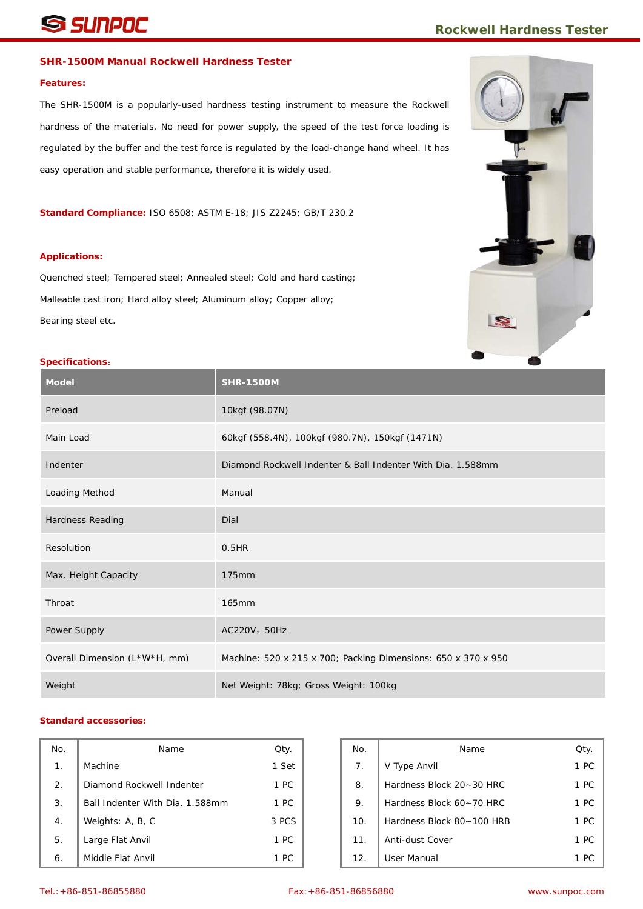# **SHIPOC** *Rockwell Hardness Tester*

### **SHR-1500M Manual Rockwell Hardness Tester**

#### **Features:**

The SHR-1500M is a popularly-used hardness testing instrument to measure the Rockwell hardness of the materials. No need for power supply, the speed of the test force loading is regulated by the buffer and the test force is regulated by the load-change hand wheel. It has easy operation and stable performance, therefore it is widely used.

**Standard Compliance:** ISO 6508; ASTM E-18; JIS Z2245; GB/T 230.2

#### **Applications:**

Quenched steel; Tempered steel; Annealed steel; Cold and hard casting; Malleable cast iron; Hard alloy steel; Aluminum alloy; Copper alloy; Bearing steel etc.



# **Specifications**:

| ---------------<br><b>Model</b> | <b>SHR-1500M</b>                                              |
|---------------------------------|---------------------------------------------------------------|
| Preload                         | 10kgf (98.07N)                                                |
| Main Load                       | 60kgf (558.4N), 100kgf (980.7N), 150kgf (1471N)               |
| Indenter                        | Diamond Rockwell Indenter & Ball Indenter With Dia, 1.588mm   |
| Loading Method                  | Manual                                                        |
| Hardness Reading                | Dial                                                          |
| Resolution                      | 0.5HR                                                         |
| Max. Height Capacity            | 175mm                                                         |
| Throat                          | 165mm                                                         |
| Power Supply                    | AC220V, 50Hz                                                  |
| Overall Dimension (L*W*H, mm)   | Machine: 520 x 215 x 700; Packing Dimensions: 650 x 370 x 950 |
| Weight                          | Net Weight: 78kg; Gross Weight: 100kg                         |

| No. | Name                            | Qty.  | No. | Name                      | Qty. |
|-----|---------------------------------|-------|-----|---------------------------|------|
| 1.  | Machine                         | 1 Set | 7.  | V Type Anvil              | 1 PC |
| 2.  | Diamond Rockwell Indenter       | 1 PC  | 8.  | Hardness Block 20~30 HRC  | 1 PC |
| 3.  | Ball Indenter With Dia. 1.588mm | 1 PC  | 9.  | Hardness Block 60~70 HRC  | 1 PC |
| 4.  | Weights: A, B, C                | 3 PCS | 10. | Hardness Block 80~100 HRB | 1 PC |
| 5.  | Large Flat Anvil                | 1 PC  | 11. | Anti-dust Cover           | 1 PC |
| 6.  | Middle Flat Anvil               | 1 PC  | 12. | User Manual               | 1 PC |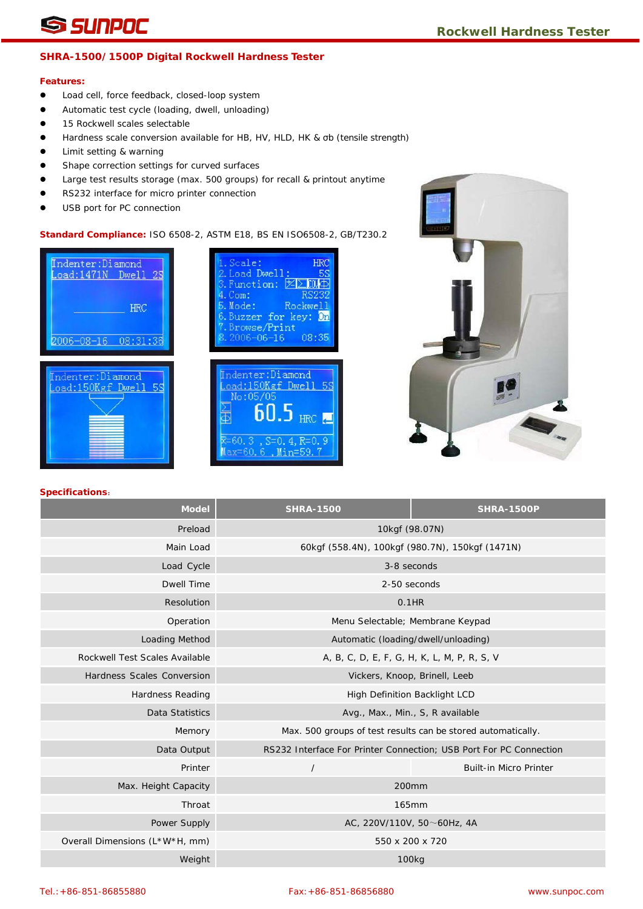## **SHRA-1500/1500P Digital Rockwell Hardness Tester**

#### **Features:**

- Load cell, force feedback, closed-loop system
- Automatic test cycle (loading, dwell, unloading)
- **15 Rockwell scales selectable**
- Hardness scale conversion available for HB, HV, HLD, HK & σb (tensile strength)
- Limit setting & warning
- **•** Shape correction settings for curved surfaces
- Large test results storage (max. 500 groups) for recall & printout anytime
- RS232 interface for micro printer connection
- USB port for PC connection

**Standard Compliance:** ISO 6508-2, ASTM E18, BS EN ISO6508-2, GB/T230.2







| <b>Model</b>                   | <b>SHRA-1500</b>                                             | <b>SHRA-1500P</b>                                                  |  |  |  |  |
|--------------------------------|--------------------------------------------------------------|--------------------------------------------------------------------|--|--|--|--|
| Preload                        | 10kgf (98.07N)                                               |                                                                    |  |  |  |  |
| Main Load                      | 60kgf (558.4N), 100kgf (980.7N), 150kgf (1471N)              |                                                                    |  |  |  |  |
| Load Cycle                     | 3-8 seconds                                                  |                                                                    |  |  |  |  |
| <b>Dwell Time</b>              | 2-50 seconds                                                 |                                                                    |  |  |  |  |
| Resolution                     | $0.1$ HR                                                     |                                                                    |  |  |  |  |
| Operation                      | Menu Selectable; Membrane Keypad                             |                                                                    |  |  |  |  |
| Loading Method                 | Automatic (loading/dwell/unloading)                          |                                                                    |  |  |  |  |
| Rockwell Test Scales Available | A, B, C, D, E, F, G, H, K, L, M, P, R, S, V                  |                                                                    |  |  |  |  |
| Hardness Scales Conversion     | Vickers, Knoop, Brinell, Leeb                                |                                                                    |  |  |  |  |
| <b>Hardness Reading</b>        | High Definition Backlight LCD                                |                                                                    |  |  |  |  |
| Data Statistics                | Avg., Max., Min., S, R available                             |                                                                    |  |  |  |  |
| Memory                         | Max. 500 groups of test results can be stored automatically. |                                                                    |  |  |  |  |
| Data Output                    |                                                              | RS232 Interface For Printer Connection; USB Port For PC Connection |  |  |  |  |
| Printer                        | $\prime$                                                     | <b>Built-in Micro Printer</b>                                      |  |  |  |  |
| Max. Height Capacity           | 200mm                                                        |                                                                    |  |  |  |  |
| Throat                         | 165mm                                                        |                                                                    |  |  |  |  |
| Power Supply                   | AC, 220V/110V, 50 $\sim$ 60Hz, 4A                            |                                                                    |  |  |  |  |
| Overall Dimensions (L*W*H, mm) | 550 x 200 x 720                                              |                                                                    |  |  |  |  |
| Weight                         | 100 <sub>kg</sub>                                            |                                                                    |  |  |  |  |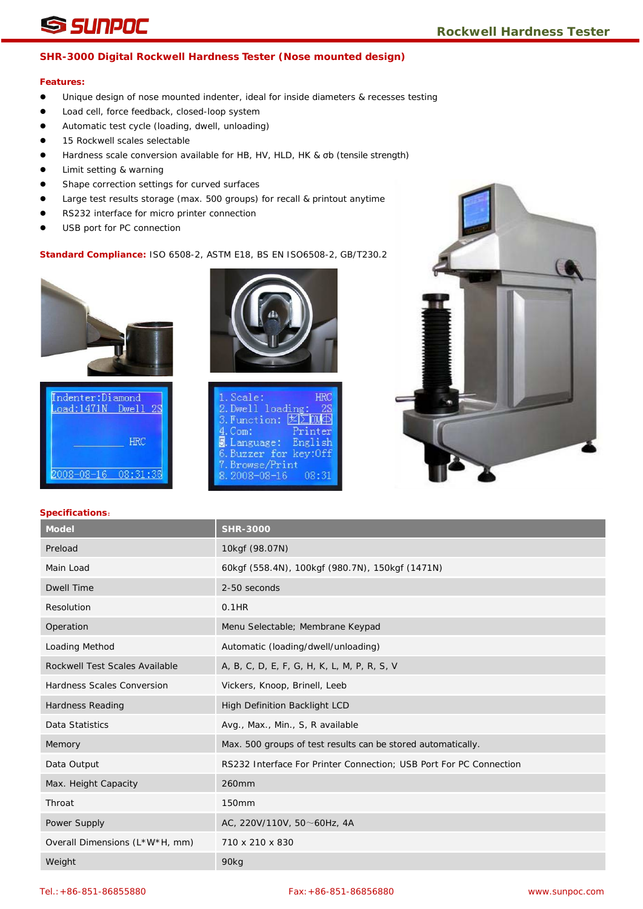# **SSINPOC**<br>
Rockwell Hardness Tester

# **SHR-3000 Digital Rockwell Hardness Tester (Nose mounted design)**

# **Features:**

- Unique design of nose mounted indenter, ideal for inside diameters & recesses testing
- **.** Load cell, force feedback, closed-loop system
- Automatic test cycle (loading, dwell, unloading)
- **15 Rockwell scales selectable**
- Hardness scale conversion available for HB, HV, HLD, HK & σb (tensile strength)
- Limit setting & warning
- **•** Shape correction settings for curved surfaces
- Large test results storage (max. 500 groups) for recall & printout anytime
- RS232 interface for micro printer connection
- USB port for PC connection

# **Standard Compliance:** ISO 6508-2, ASTM E18, BS EN ISO6508-2, GB/T230.2







| 1. Scale:<br><b>HRC</b>       |  |
|-------------------------------|--|
| 2. Dwell loading:<br>25       |  |
| 3. Function: 区区000            |  |
| Printer<br>4. Com:            |  |
| 3. Language: English          |  |
| 6. Buzzer for key: Off        |  |
| 7. Browse/Print               |  |
| $8.2008 - 08 - 16$<br>በጸ • 31 |  |
|                               |  |



| <b>Model</b>                      | <b>SHR-3000</b>                                                    |
|-----------------------------------|--------------------------------------------------------------------|
| Preload                           | 10kgf (98.07N)                                                     |
| Main Load                         | 60kgf (558.4N), 100kgf (980.7N), 150kgf (1471N)                    |
| <b>Dwell Time</b>                 | 2-50 seconds                                                       |
| Resolution                        | 0.1HR                                                              |
| Operation                         | Menu Selectable; Membrane Keypad                                   |
| Loading Method                    | Automatic (loading/dwell/unloading)                                |
| Rockwell Test Scales Available    | A, B, C, D, E, F, G, H, K, L, M, P, R, S, V                        |
| <b>Hardness Scales Conversion</b> | Vickers, Knoop, Brinell, Leeb                                      |
| <b>Hardness Reading</b>           | High Definition Backlight LCD                                      |
| Data Statistics                   | Avg., Max., Min., S, R available                                   |
| Memory                            | Max. 500 groups of test results can be stored automatically.       |
| Data Output                       | RS232 Interface For Printer Connection; USB Port For PC Connection |
| Max. Height Capacity              | 260mm                                                              |
| Throat                            | 150mm                                                              |
| Power Supply                      | AC, 220V/110V, 50 $\sim$ 60Hz, 4A                                  |
| Overall Dimensions (L*W*H, mm)    | 710 x 210 x 830                                                    |
| Weight                            | 90kg                                                               |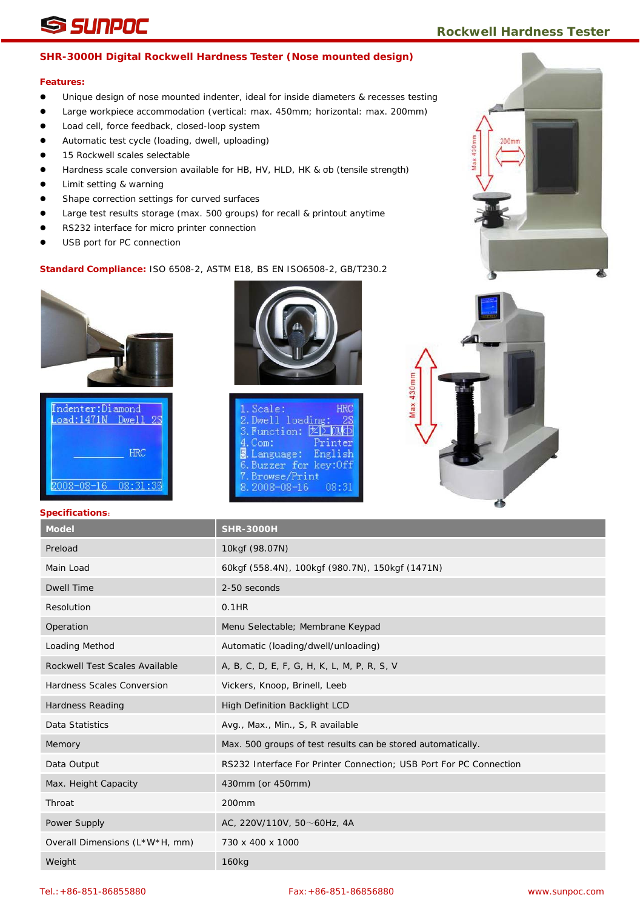# **SSINPOC** Rockwell Hardness Tester

# **SHR-3000H Digital Rockwell Hardness Tester (Nose mounted design)**

# **Features:**

- Unique design of nose mounted indenter, ideal for inside diameters & recesses testing
- Large workpiece accommodation (vertical: max. 450mm; horizontal: max. 200mm)
- **.** Load cell, force feedback, closed-loop system
- Automatic test cycle (loading, dwell, uploading)
- 15 Rockwell scales selectable
- Hardness scale conversion available for HB, HV, HLD, HK & σb (tensile strength)
- Limit setting & warning
- **•** Shape correction settings for curved surfaces
- Large test results storage (max. 500 groups) for recall & printout anytime
- RS232 interface for micro printer connection
- USB port for PC connection

# **Standard Compliance:** ISO 6508-2, ASTM E18, BS EN ISO6508-2, GB/T230.2



| Indenter:Diamond<br>$\texttt{load:1471N}$ | Dw <sub>e</sub> 11 |
|-------------------------------------------|--------------------|
|                                           | <b>HRC</b>         |
| 2008-08-16                                |                    |



| 1. Scale:              | <b>HRC</b> |
|------------------------|------------|
| 2. Dwell loading:      | 28         |
| 3. Function: 区区000     |            |
| $4.$ Com:              | Printer    |
| 3. Language: English   |            |
| 6. Buzzer for key: Off |            |
| 7. Browse/Print        |            |
| $8.2008 - 08 - 16$     | 08:31      |
|                        |            |

![](_page_6_Picture_20.jpeg)

| <b>Model</b>                   | <b>SHR-3000H</b>                                                   |
|--------------------------------|--------------------------------------------------------------------|
| Preload                        | 10kgf (98.07N)                                                     |
| Main Load                      | 60kgf (558.4N), 100kgf (980.7N), 150kgf (1471N)                    |
| <b>Dwell Time</b>              | 2-50 seconds                                                       |
| Resolution                     | $0.1$ HR                                                           |
| Operation                      | Menu Selectable; Membrane Keypad                                   |
| Loading Method                 | Automatic (loading/dwell/unloading)                                |
| Rockwell Test Scales Available | A, B, C, D, E, F, G, H, K, L, M, P, R, S, V                        |
| Hardness Scales Conversion     | Vickers, Knoop, Brinell, Leeb                                      |
| <b>Hardness Reading</b>        | <b>High Definition Backlight LCD</b>                               |
| Data Statistics                | Avg., Max., Min., S, R available                                   |
| Memory                         | Max. 500 groups of test results can be stored automatically.       |
| Data Output                    | RS232 Interface For Printer Connection; USB Port For PC Connection |
| Max. Height Capacity           | 430mm (or 450mm)                                                   |
| Throat                         | 200mm                                                              |
| Power Supply                   | AC, 220V/110V, 50 $\sim$ 60Hz, 4A                                  |
| Overall Dimensions (L*W*H, mm) | 730 x 400 x 1000                                                   |
| Weight                         | 160 <sub>kg</sub>                                                  |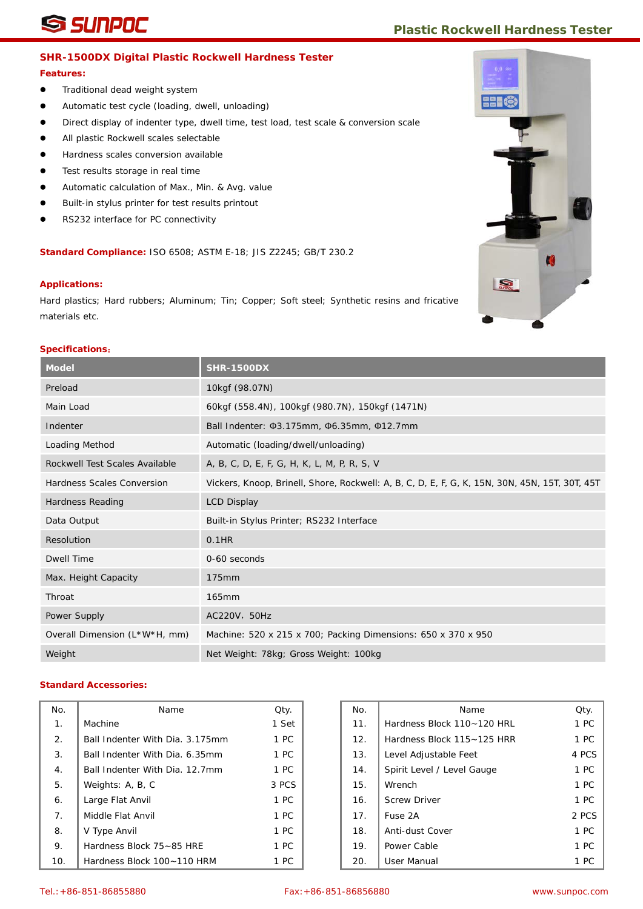# **SINPOC** *Plastic Rockwell Hardness Tester*

## **SHR-1500DX Digital Plastic Rockwell Hardness Tester**

#### **Features:**

- **•** Traditional dead weight system
- Automatic test cycle (loading, dwell, unloading)
- **Direct display of indenter type, dwell time, test load, test scale & conversion scale**
- All plastic Rockwell scales selectable
- Hardness scales conversion available
- Test results storage in real time
- Automatic calculation of Max., Min. & Avg. value
- Built-in stylus printer for test results printout
- RS232 interface for PC connectivity

**Standard Compliance:** ISO 6508; ASTM E-18; JIS Z2245; GB/T 230.2

#### **Applications:**

Hard plastics; Hard rubbers; Aluminum; Tin; Copper; Soft steel; Synthetic resins and fricative materials etc.

#### **Specifications**:

| <b>Model</b>                   | <b>SHR-1500DX</b>                                                                              |
|--------------------------------|------------------------------------------------------------------------------------------------|
| Preload                        | 10kgf (98.07N)                                                                                 |
| Main Load                      | 60kgf (558.4N), 100kgf (980.7N), 150kgf (1471N)                                                |
| Indenter                       | Ball Indenter: 03.175mm, 06.35mm, 012.7mm                                                      |
| Loading Method                 | Automatic (loading/dwell/unloading)                                                            |
| Rockwell Test Scales Available | A, B, C, D, E, F, G, H, K, L, M, P, R, S, V                                                    |
| Hardness Scales Conversion     | Vickers, Knoop, Brinell, Shore, Rockwell: A, B, C, D, E, F, G, K, 15N, 30N, 45N, 15T, 30T, 45T |
| Hardness Reading               | <b>LCD Display</b>                                                                             |
| Data Output                    | Built-in Stylus Printer; RS232 Interface                                                       |
| Resolution                     | $0.1$ HR                                                                                       |
| Dwell Time                     | 0-60 seconds                                                                                   |
| Max. Height Capacity           | 175mm                                                                                          |
| Throat                         | 165mm                                                                                          |
| Power Supply                   | AC220V, 50Hz                                                                                   |
| Overall Dimension (L*W*H, mm)  | Machine: 520 x 215 x 700; Packing Dimensions: 650 x 370 x 950                                  |
| Weight                         | Net Weight: 78kg; Gross Weight: 100kg                                                          |

| No.            | Name                            | Qty.  | No. | Name                       | Qty.  |
|----------------|---------------------------------|-------|-----|----------------------------|-------|
| 1.             | Machine                         | 1 Set | 11. | Hardness Block 110~120 HRL | 1 PC  |
| 2.             | Ball Indenter With Dia. 3.175mm | 1 PC  | 12. | Hardness Block 115~125 HRR | 1 PC  |
| 3.             | Ball Indenter With Dia. 6.35mm  | 1 PC  | 13. | Level Adjustable Feet      | 4 PC: |
| 4.             | Ball Indenter With Dia, 12.7mm  | 1 PC  | 14. | Spirit Level / Level Gauge | 1 PC  |
| 5.             | Weights: A, B, C                | 3 PCS | 15. | Wrench                     | 1 PC  |
| 6.             | Large Flat Anvil                | 1 PC  | 16. | <b>Screw Driver</b>        | 1 PC  |
| 7 <sub>1</sub> | Middle Flat Anvil               | 1 PC  | 17. | Fuse 2A                    | 2 PC: |
| 8.             | V Type Anvil                    | 1 PC  | 18. | Anti-dust Cover            | 1 PC  |
| 9.             | Hardness Block 75~85 HRE        | 1 PC  | 19. | Power Cable                | 1 PC  |
| 10.            | Hardness Block 100~110 HRM      | 1 PC  | 20. | User Manual                | 1 PC  |

| ١o.            | Name                            | Qty.  | No. | Name                       | Qty.  |
|----------------|---------------------------------|-------|-----|----------------------------|-------|
| 1 <sub>1</sub> | Machine                         | 1 Set | 11. | Hardness Block 110~120 HRL | 1 PC  |
| 2.             | Ball Indenter With Dia. 3.175mm | 1 PC  | 12. | Hardness Block 115~125 HRR | 1 PC  |
| 3.             | Ball Indenter With Dia, 6.35mm  | 1 PC  | 13. | Level Adjustable Feet      | 4 PCS |
| 4.             | Ball Indenter With Dia, 12.7mm  | 1 PC  | 14. | Spirit Level / Level Gauge | 1 PC  |
| 5.             | Weights: A, B, C                | 3 PCS | 15. | Wrench                     | 1 PC  |
| 6.             | Large Flat Anvil                | 1 PC  | 16. | <b>Screw Driver</b>        | 1 PC  |
| 7.             | Middle Flat Anvil               | 1 PC  | 17. | Fuse 2A                    | 2 PCS |
| 8.             | V Type Anvil                    | 1 PC  | 18. | Anti-dust Cover            | 1 PC  |
| 9.             | Hardness Block 75~85 HRE        | 1 PC  | 19. | Power Cable                | 1 PC  |
| 10.            | Hardness Block 100~110 HRM      | 1 PC  | 20. | User Manual                | 1 PC  |

![](_page_7_Picture_21.jpeg)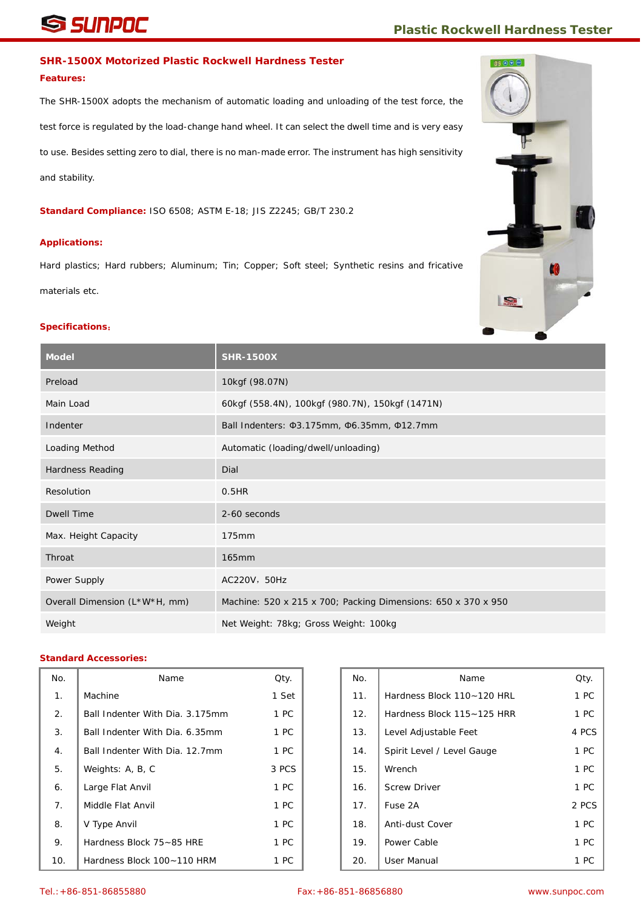# **SINPOC** *Plastic Rockwell Hardness Tester*

# **SHR-1500X Motorized Plastic Rockwell Hardness Tester**

#### **Features:**

The SHR-1500X adopts the mechanism of automatic loading and unloading of the test force, the test force is regulated by the load-change hand wheel. It can select the dwell time and is very easy to use. Besides setting zero to dial, there is no man-made error. The instrument has high sensitivity and stability.

**Standard Compliance:** ISO 6508; ASTM E-18; JIS Z2245; GB/T 230.2

#### **Applications:**

Hard plastics; Hard rubbers; Aluminum; Tin; Copper; Soft steel; Synthetic resins and fricative materials etc.

#### **Specifications**:

| <b>Model</b>                  | <b>SHR-1500X</b>                                              |
|-------------------------------|---------------------------------------------------------------|
| Preload                       | 10kgf (98.07N)                                                |
| Main Load                     | 60kgf (558.4N), 100kgf (980.7N), 150kgf (1471N)               |
| Indenter                      | Ball Indenters: \$3.175mm, \$6.35mm, \$12.7mm                 |
| Loading Method                | Automatic (loading/dwell/unloading)                           |
| Hardness Reading              | Dial                                                          |
| Resolution                    | 0.5HR                                                         |
| Dwell Time                    | 2-60 seconds                                                  |
| Max. Height Capacity          | 175mm                                                         |
| Throat                        | 165mm                                                         |
| Power Supply                  | AC220V, 50Hz                                                  |
| Overall Dimension (L*W*H, mm) | Machine: 520 x 215 x 700; Packing Dimensions: 650 x 370 x 950 |
| Weight                        | Net Weight: 78kg; Gross Weight: 100kg                         |

| No. | Name                            | Qty.  | No. | Name                       | Qty.  |
|-----|---------------------------------|-------|-----|----------------------------|-------|
| 1.  | Machine                         | 1 Set | 11. | Hardness Block 110~120 HRL | 1 PC  |
| 2.  | Ball Indenter With Dia. 3.175mm | 1 PC  | 12. | Hardness Block 115~125 HRR | 1 PC  |
| 3.  | Ball Indenter With Dia. 6.35mm  | 1 PC  | 13. | Level Adjustable Feet      | 4 PCS |
| 4.  | Ball Indenter With Dia, 12.7mm  | 1 PC  | 14. | Spirit Level / Level Gauge | 1 PC  |
| 5.  | Weights: A, B, C                | 3 PCS | 15. | Wrench                     | 1 PC  |
| 6.  | Large Flat Anvil                | 1 PC  | 16. | <b>Screw Driver</b>        | 1 PC  |
| 7.  | Middle Flat Anvil               | 1 PC  | 17. | Fuse 2A                    | 2 PCS |
| 8.  | V Type Anvil                    | 1 PC  | 18. | Anti-dust Cover            | 1 PC  |
| 9.  | Hardness Block 75~85 HRE        | 1 PC  | 19. | Power Cable                | 1 PC  |
| 10. | Hardness Block 100~110 HRM      | 1 PC  | 20. | User Manual                | 1 PC  |

![](_page_8_Picture_12.jpeg)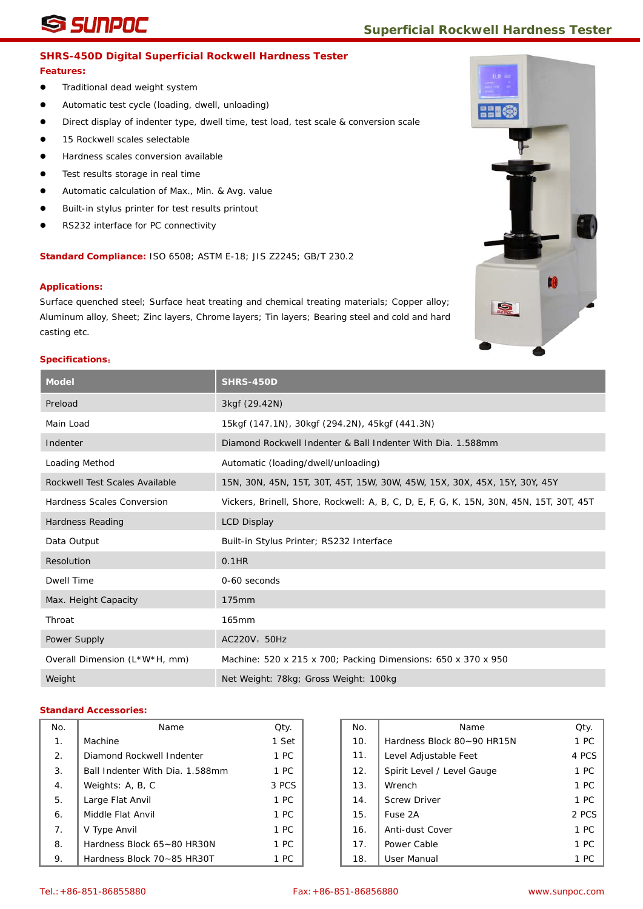# **SUNPOC** Superficial Rockwell Hardness Tester

## **SHRS-450D Digital Superficial Rockwell Hardness Tester**

#### **Features:**

- **•** Traditional dead weight system
- Automatic test cycle (loading, dwell, unloading)
- Direct display of indenter type, dwell time, test load, test scale & conversion scale
- 15 Rockwell scales selectable
- Hardness scales conversion available
- Test results storage in real time
- Automatic calculation of Max., Min. & Avg. value
- Built-in stylus printer for test results printout
- RS232 interface for PC connectivity

**Standard Compliance:** ISO 6508; ASTM E-18; JIS Z2245; GB/T 230.2

#### **Applications:**

Surface quenched steel; Surface heat treating and chemical treating materials; Copper alloy; Aluminum alloy, Sheet; Zinc layers, Chrome layers; Tin layers; Bearing steel and cold and hard casting etc.

#### **Specifications**:

| <b>Model</b>                   | <b>SHRS-450D</b>                                                                        |
|--------------------------------|-----------------------------------------------------------------------------------------|
| Preload                        | 3kgf (29.42N)                                                                           |
| Main Load                      | 15kgf (147.1N), 30kgf (294.2N), 45kgf (441.3N)                                          |
| Indenter                       | Diamond Rockwell Indenter & Ball Indenter With Dia. 1.588mm                             |
| Loading Method                 | Automatic (loading/dwell/unloading)                                                     |
| Rockwell Test Scales Available | 15N, 30N, 45N, 15T, 30T, 45T, 15W, 30W, 45W, 15X, 30X, 45X, 15Y, 30Y, 45Y               |
| Hardness Scales Conversion     | Vickers, Brinell, Shore, Rockwell: A, B, C, D, E, F, G, K, 15N, 30N, 45N, 15T, 30T, 45T |
| Hardness Reading               | <b>LCD Display</b>                                                                      |
| Data Output                    | Built-in Stylus Printer; RS232 Interface                                                |
| Resolution                     | 0.1HR                                                                                   |
| <b>Dwell Time</b>              | 0-60 seconds                                                                            |
| Max. Height Capacity           | 175mm                                                                                   |
| Throat                         | 165mm                                                                                   |
| Power Supply                   | AC220V, 50Hz                                                                            |
| Overall Dimension (L*W*H, mm)  | Machine: 520 x 215 x 700; Packing Dimensions: 650 x 370 x 950                           |
| Weight                         | Net Weight: 78kg; Gross Weight: 100kg                                                   |

| No.            | Name                            | Qty.  | No. | Name                       | Qty            |
|----------------|---------------------------------|-------|-----|----------------------------|----------------|
| 1 <sub>1</sub> | Machine                         | 1 Set | 10. | Hardness Block 80~90 HR15N | 1 <sub>P</sub> |
| 2.             | Diamond Rockwell Indenter       | 1 PC  | 11. | Level Adjustable Feet      | 4 PC           |
| 3.             | Ball Indenter With Dia. 1.588mm | 1 PC  | 12. | Spirit Level / Level Gauge | 1 <sub>P</sub> |
| 4.             | Weights: A, B, C                | 3 PCS | 13. | Wrench                     | 1 <sub>P</sub> |
| 5.             | Large Flat Anvil                | 1 PC  | 14. | <b>Screw Driver</b>        | 1 <sub>P</sub> |
| 6.             | Middle Flat Anvil               | 1 PC  | 15. | Fuse 2A                    | 2 PC           |
| 7.             | V Type Anvil                    | 1 PC  | 16. | Anti-dust Cover            | 1 <sub>P</sub> |
| 8.             | Hardness Block 65~80 HR30N      | 1 PC  | 17. | Power Cable                | 1 <sub>P</sub> |
| 9.             | Hardness Block 70~85 HR30T      | 1 PC  | 18. | User Manual                | 1 <sub>P</sub> |

| ٧o.              | Name                            | Qty.  | No. | Name                       | Qty.  |
|------------------|---------------------------------|-------|-----|----------------------------|-------|
| 1.               | Machine                         | 1 Set | 10. | Hardness Block 80~90 HR15N | 1 PC  |
| $\overline{2}$ . | Diamond Rockwell Indenter       | 1 PC  | 11. | Level Adjustable Feet      | 4 PCS |
| 3.               | Ball Indenter With Dia. 1.588mm | 1 PC  | 12. | Spirit Level / Level Gauge | 1 PC  |
| 4.               | Weights: A, B, C                | 3 PCS | 13. | Wrench                     | 1 PC  |
| 5.               | Large Flat Anvil                | 1 PC  | 14. | <b>Screw Driver</b>        | 1 PC  |
| 6.               | Middle Flat Anvil               | 1 PC  | 15. | Fuse 2A                    | 2 PCS |
| 7.               | V Type Anvil                    | 1 PC  | 16. | Anti-dust Cover            | 1 PC  |
| 8.               | Hardness Block 65~80 HR30N      | 1 PC  | 17. | Power Cable                | 1 PC  |
| 9.               | Hardness Block 70~85 HR30T      | 1 PC  | 18. | User Manual                | 1 PC  |

![](_page_9_Picture_21.jpeg)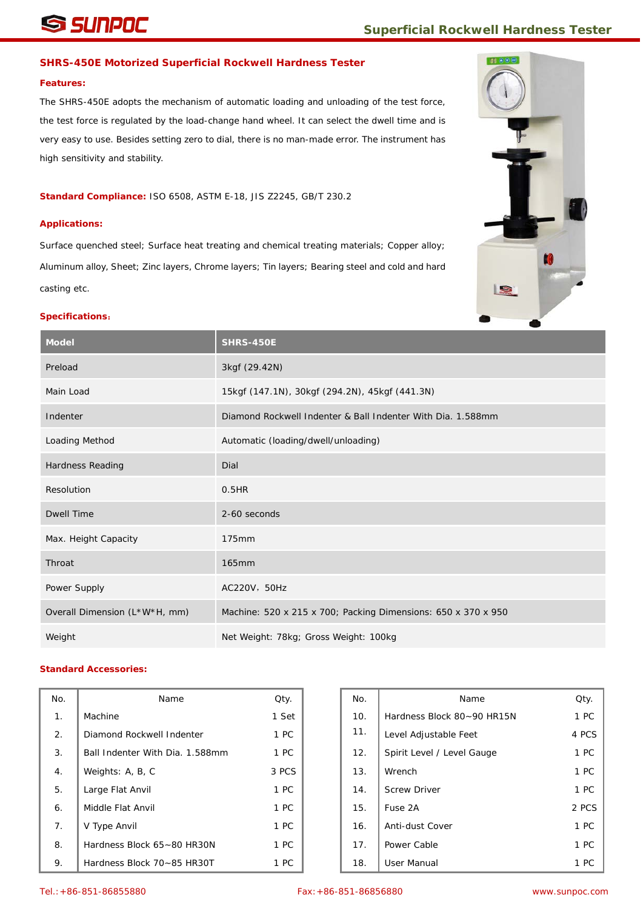# **SINPOC** Superficial Rockwell Hardness Tester

# **SHRS-450E Motorized Superficial Rockwell Hardness Tester**

## **Features:**

The SHRS-450E adopts the mechanism of automatic loading and unloading of the test force, the test force is regulated by the load-change hand wheel. It can select the dwell time and is very easy to use. Besides setting zero to dial, there is no man-made error. The instrument has high sensitivity and stability.

**Standard Compliance:** ISO 6508, ASTM E-18, JIS Z2245, GB/T 230.2

# **Applications:**

Surface quenched steel; Surface heat treating and chemical treating materials; Copper alloy; Aluminum alloy, Sheet; Zinc layers, Chrome layers; Tin layers; Bearing steel and cold and hard casting etc.

![](_page_10_Picture_8.jpeg)

## **Specifications**:

| <b>Model</b>                  | <b>SHRS-450E</b>                                              |
|-------------------------------|---------------------------------------------------------------|
| Preload                       | 3kgf (29.42N)                                                 |
| Main Load                     | 15kgf (147.1N), 30kgf (294.2N), 45kgf (441.3N)                |
| Indenter                      | Diamond Rockwell Indenter & Ball Indenter With Dia. 1.588mm   |
| Loading Method                | Automatic (loading/dwell/unloading)                           |
| Hardness Reading              | Dial                                                          |
| Resolution                    | 0.5HR                                                         |
| <b>Dwell Time</b>             | 2-60 seconds                                                  |
| Max. Height Capacity          | 175mm                                                         |
| Throat                        | 165mm                                                         |
| Power Supply                  | AC220V, 50Hz                                                  |
| Overall Dimension (L*W*H, mm) | Machine: 520 x 215 x 700; Packing Dimensions: 650 x 370 x 950 |
| Weight                        | Net Weight: 78kg; Gross Weight: 100kg                         |

| No.            | Name                            | Qty.  | No. | Name                       | Qty. |
|----------------|---------------------------------|-------|-----|----------------------------|------|
| 1 <sub>1</sub> | Machine                         | 1 Set | 10. | Hardness Block 80~90 HR15N | 1 PC |
| 2.             | Diamond Rockwell Indenter       | 1 PC  | 11. | Level Adjustable Feet      | 4 PC |
| 3.             | Ball Indenter With Dia. 1.588mm | 1 PC  | 12. | Spirit Level / Level Gauge | 1PC  |
| 4.             | Weights: A, B, C                | 3 PCS | 13. | Wrench                     | 1 PC |
| 5.             | Large Flat Anvil                | 1 PC  | 14. | <b>Screw Driver</b>        | 1PC  |
| 6.             | Middle Flat Anvil               | 1 PC  | 15. | Fuse 2A                    | 2 PC |
| 7.             | V Type Anvil                    | 1 PC  | 16. | Anti-dust Cover            | 1 PC |
| 8.             | Hardness Block 65~80 HR30N      | 1 PC  | 17. | Power Cable                | 1 PC |
| 9.             | Hardness Block 70~85 HR30T      | 1 PC  | 18. | User Manual                | 1 PC |

| ١o. | Name                            | Qty.  | No. | Name                       | Qty.  |
|-----|---------------------------------|-------|-----|----------------------------|-------|
| 1.  | Machine                         | 1 Set | 10. | Hardness Block 80~90 HR15N | 1 PC  |
| 2.  | Diamond Rockwell Indenter       | 1 PC  | 11. | Level Adjustable Feet      | 4 PCS |
| 3.  | Ball Indenter With Dia. 1.588mm | 1 PC  | 12. | Spirit Level / Level Gauge | 1 PC  |
| 4.  | Weights: A, B, C                | 3 PCS | 13. | Wrench                     | 1 PC  |
| 5.  | Large Flat Anvil                | 1 PC  | 14. | <b>Screw Driver</b>        | 1 PC  |
| 6.  | Middle Flat Anvil               | 1 PC  | 15. | Fuse 2A                    | 2 PCS |
| 7.  | V Type Anvil                    | 1 PC  | 16. | Anti-dust Cover            | 1 PC  |
| 8.  | Hardness Block 65~80 HR30N      | 1 PC  | 17. | Power Cable                | 1 PC  |
| 9.  | Hardness Block 70~85 HR30T      | 1 PC  | 18. | User Manual                | 1 PC  |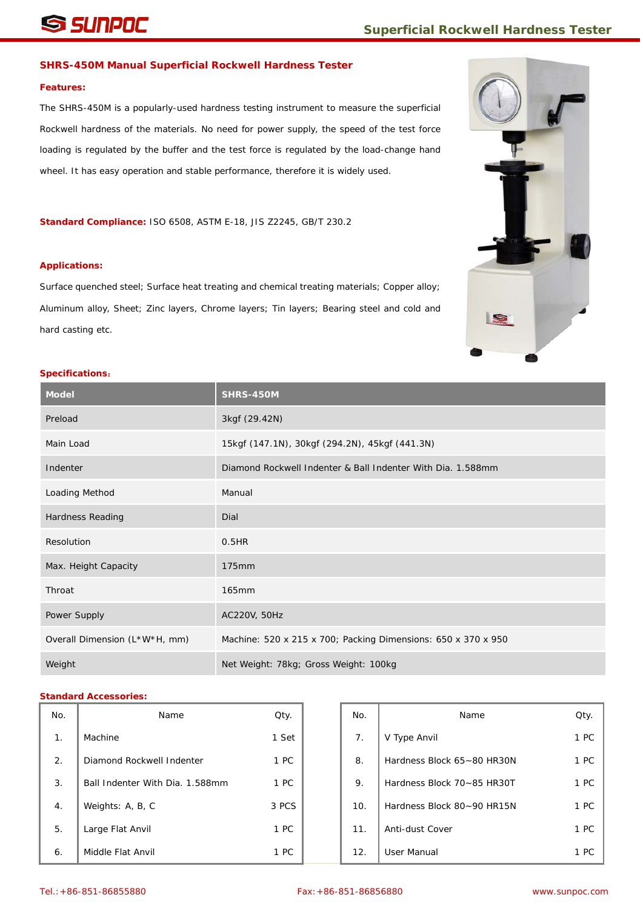# **SUNPOC** Superficial Rockwell Hardness Tester

#### **SHRS-450M Manual Superficial Rockwell Hardness Tester**

#### **Features:**

The SHRS-450M is a popularly-used hardness testing instrument to measure the superficial Rockwell hardness of the materials. No need for power supply, the speed of the test force loading is regulated by the buffer and the test force is regulated by the load-change hand wheel. It has easy operation and stable performance, therefore it is widely used.

**Standard Compliance:** ISO 6508, ASTM E-18, JIS Z2245, GB/T 230.2

#### **Applications:**

Surface quenched steel; Surface heat treating and chemical treating materials; Copper alloy; Aluminum alloy, Sheet; Zinc layers, Chrome layers; Tin layers; Bearing steel and cold and hard casting etc.

![](_page_11_Picture_8.jpeg)

### **Specifications**:

| <b>Model</b>                  | <b>SHRS-450M</b>                                              |
|-------------------------------|---------------------------------------------------------------|
| Preload                       | 3kgf (29.42N)                                                 |
| Main Load                     | 15kgf (147.1N), 30kgf (294.2N), 45kgf (441.3N)                |
| Indenter                      | Diamond Rockwell Indenter & Ball Indenter With Dia. 1.588mm   |
| Loading Method                | Manual                                                        |
| Hardness Reading              | Dial                                                          |
| Resolution                    | 0.5HR                                                         |
| Max. Height Capacity          | 175mm                                                         |
| Throat                        | 165mm                                                         |
| Power Supply                  | AC220V, 50Hz                                                  |
| Overall Dimension (L*W*H, mm) | Machine: 520 x 215 x 700; Packing Dimensions: 650 x 370 x 950 |
| Weight                        | Net Weight: 78kg; Gross Weight: 100kg                         |

| No.            | Name                            | Qty.  | No. | Name                       | Qty. |
|----------------|---------------------------------|-------|-----|----------------------------|------|
| 1 <sub>1</sub> | Machine                         | 1 Set | 7.  | V Type Anvil               | 1 PC |
| 2.             | Diamond Rockwell Indenter       | 1 PC  | 8.  | Hardness Block 65~80 HR30N | 1 PC |
| 3.             | Ball Indenter With Dia, 1.588mm | 1 PC  | 9.  | Hardness Block 70~85 HR30T | 1 PC |
| 4.             | Weights: A, B, C                | 3 PCS | 10. | Hardness Block 80~90 HR15N | 1 PC |
| 5.             | Large Flat Anvil                | 1 PC  | 11. | Anti-dust Cover            | 1 PC |
| 6.             | Middle Flat Anvil               | 1 PC  | 12. | User Manual                | 1 PC |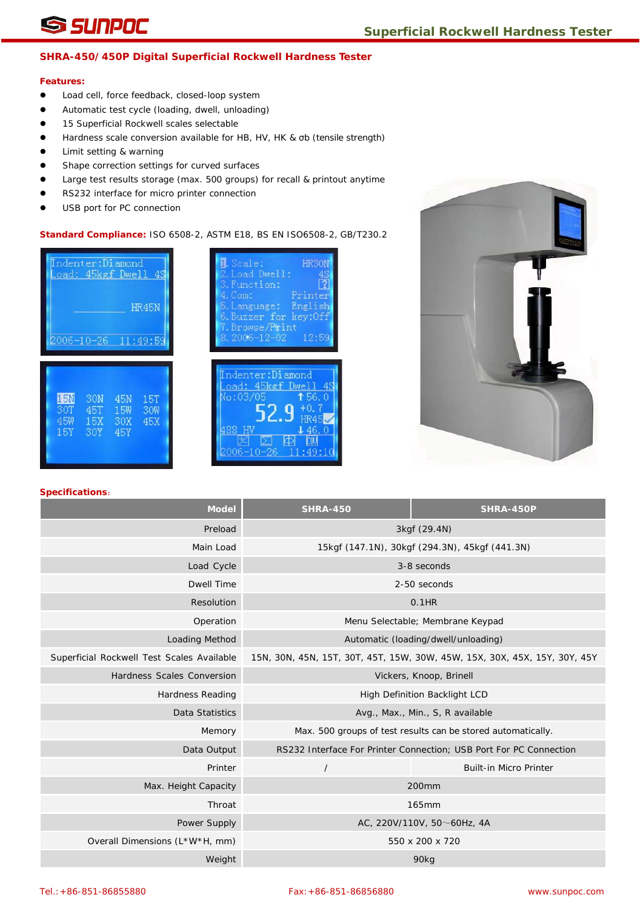## **SHRA-450/450P Digital Superficial Rockwell Hardness Tester**

#### **Features:**

- $\bullet$  Load cell, force feedback, closed-loop system
- Automatic test cycle (loading, dwell, unloading)
- **15 Superficial Rockwell scales selectable**
- Hardness scale conversion available for HB, HV, HK & σb (tensile strength)
- **•** Limit setting & warning
- **•** Shape correction settings for curved surfaces
- Large test results storage (max. 500 groups) for recall & printout anytime
- RS232 interface for micro printer connection
- USB port for PC connection

### **Standard Compliance:** ISO 6508-2, ASTM E18, BS EN ISO6508-2, GB/T230.2

![](_page_12_Figure_14.jpeg)

| <b>N</b> . Scale:<br><b>HR301</b><br>.Load Dwell:<br>3. Function:<br>4. Com:<br>Printer<br>5. Language: English<br>6. Buzzer for key:Off<br>7. Browse/Print<br>$8.2006 - 12 - 02$<br>12:59 |
|--------------------------------------------------------------------------------------------------------------------------------------------------------------------------------------------|
| ndenter:Diamond<br>oad: 45kgf Dwell<br>No:03/05<br>156.0<br>$+0.$<br>R45<br>J 46.<br>006–10<br>T 4<br>÷                                                                                    |

![](_page_12_Picture_16.jpeg)

| <b>Model</b>                               | <b>SHRA-450</b>                                | <b>SHRA-450P</b>                                                          |  |
|--------------------------------------------|------------------------------------------------|---------------------------------------------------------------------------|--|
| Preload                                    | 3kgf (29.4N)                                   |                                                                           |  |
| Main Load                                  | 15kgf (147.1N), 30kgf (294.3N), 45kgf (441.3N) |                                                                           |  |
| Load Cycle                                 |                                                | 3-8 seconds                                                               |  |
| <b>Dwell Time</b>                          |                                                | 2-50 seconds                                                              |  |
| Resolution                                 |                                                | $0.1$ HR                                                                  |  |
| Operation                                  |                                                | Menu Selectable; Membrane Keypad                                          |  |
| Loading Method                             |                                                | Automatic (loading/dwell/unloading)                                       |  |
| Superficial Rockwell Test Scales Available |                                                | 15N, 30N, 45N, 15T, 30T, 45T, 15W, 30W, 45W, 15X, 30X, 45X, 15Y, 30Y, 45Y |  |
| Hardness Scales Conversion                 |                                                | Vickers, Knoop, Brinell                                                   |  |
| <b>Hardness Reading</b>                    |                                                | High Definition Backlight LCD                                             |  |
| Data Statistics                            |                                                | Avg., Max., Min., S, R available                                          |  |
| Memory                                     |                                                | Max. 500 groups of test results can be stored automatically.              |  |
| Data Output                                |                                                | RS232 Interface For Printer Connection; USB Port For PC Connection        |  |
| Printer                                    | $\overline{1}$                                 | <b>Built-in Micro Printer</b>                                             |  |
| Max. Height Capacity                       |                                                | 200mm                                                                     |  |
| Throat                                     |                                                | <b>165mm</b>                                                              |  |
| Power Supply                               |                                                | AC, 220V/110V, 50 $\sim$ 60Hz, 4A                                         |  |
| Overall Dimensions (L*W*H, mm)             |                                                | 550 x 200 x 720                                                           |  |
| Weight                                     |                                                | 90 <sub>kg</sub>                                                          |  |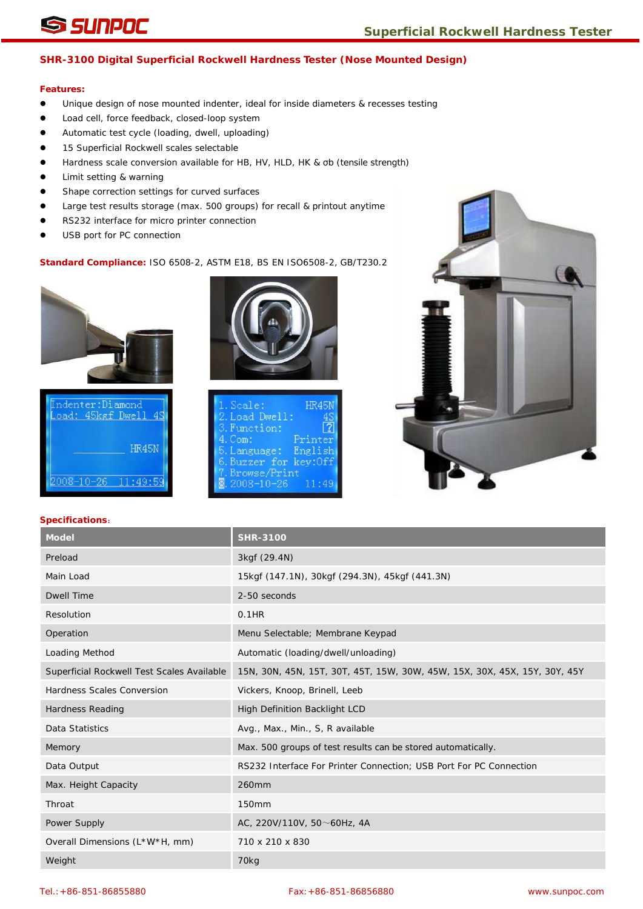# **SHR-3100 Digital Superficial Rockwell Hardness Tester (Nose Mounted Design)**

# **Features:**

- Unique design of nose mounted indenter, ideal for inside diameters & recesses testing
- Load cell, force feedback, closed-loop system
- Automatic test cycle (loading, dwell, uploading)
- 15 Superficial Rockwell scales selectable
- Hardness scale conversion available for HB, HV, HLD, HK & σb (tensile strength)
- **I** Limit setting & warning
- Shape correction settings for curved surfaces
- Large test results storage (max. 500 groups) for recall & printout anytime
- RS232 interface for micro printer connection
- USB port for PC connection

# **Standard Compliance:** ISO 6508-2, ASTM E18, BS EN ISO6508-2, GB/T230.2

![](_page_13_Picture_15.jpeg)

![](_page_13_Picture_16.jpeg)

![](_page_13_Picture_17.jpeg)

| 1. Scale:              | <b>HR45N</b> |
|------------------------|--------------|
| 2. Load Dwell:         |              |
| 3. Function:           |              |
| $4.$ Com:              | Printer      |
| 5. Language: English   |              |
| 6. Buzzer for key: Off |              |
| 7. Browse/Print        |              |
| $8.2008 - 10 - 26$     | 11:49        |

![](_page_13_Picture_19.jpeg)

| <b>Model</b>                               | <b>SHR-3100</b>                                                           |
|--------------------------------------------|---------------------------------------------------------------------------|
| Preload                                    | 3kgf (29.4N)                                                              |
| Main Load                                  | 15kgf (147.1N), 30kgf (294.3N), 45kgf (441.3N)                            |
| <b>Dwell Time</b>                          | 2-50 seconds                                                              |
| Resolution                                 | $0.1$ HR                                                                  |
| Operation                                  | Menu Selectable; Membrane Keypad                                          |
| Loading Method                             | Automatic (loading/dwell/unloading)                                       |
| Superficial Rockwell Test Scales Available | 15N, 30N, 45N, 15T, 30T, 45T, 15W, 30W, 45W, 15X, 30X, 45X, 15Y, 30Y, 45Y |
| <b>Hardness Scales Conversion</b>          | Vickers, Knoop, Brinell, Leeb                                             |
| <b>Hardness Reading</b>                    | High Definition Backlight LCD                                             |
| Data Statistics                            | Avg., Max., Min., S, R available                                          |
| Memory                                     | Max. 500 groups of test results can be stored automatically.              |
| Data Output                                | RS232 Interface For Printer Connection; USB Port For PC Connection        |
| Max. Height Capacity                       | 260mm                                                                     |
| Throat                                     | 150mm                                                                     |
| Power Supply                               | AC, 220V/110V, 50 $\sim$ 60Hz, 4A                                         |
| Overall Dimensions (L*W*H, mm)             | 710 x 210 x 830                                                           |
| Weight                                     | 70 <sub>kg</sub>                                                          |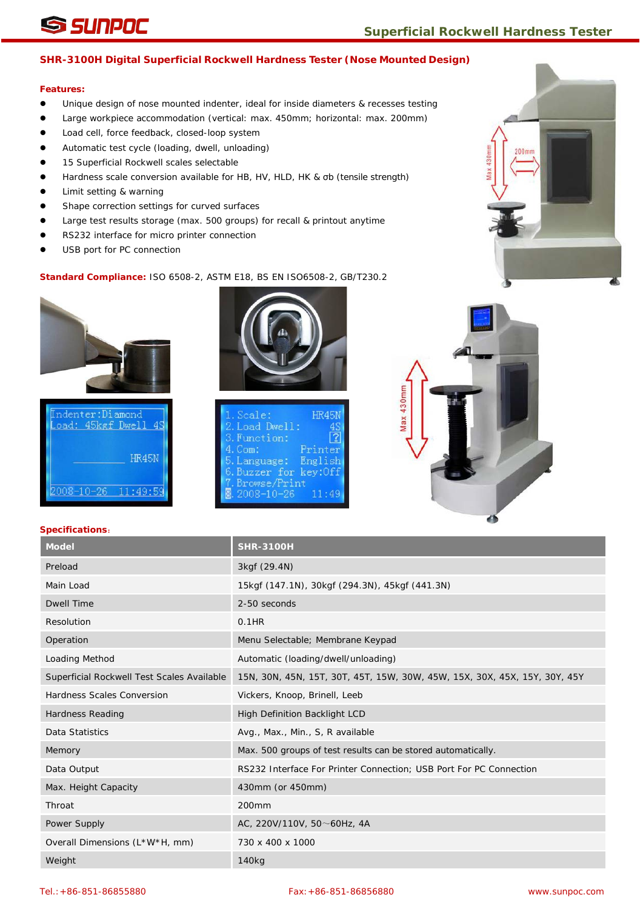# **SUNPOC** Superficial Rockwell Hardness Tester

# **SHR-3100H Digital Superficial Rockwell Hardness Tester (Nose Mounted Design)**

## **Features:**

- Unique design of nose mounted indenter, ideal for inside diameters & recesses testing
- Large workpiece accommodation (vertical: max. 450mm; horizontal: max. 200mm)
- $\bullet$  Load cell, force feedback, closed-loop system
- Automatic test cycle (loading, dwell, unloading)
- 15 Superficial Rockwell scales selectable
- Hardness scale conversion available for HB, HV, HLD, HK & σb (tensile strength)
- Limit setting & warning
- Shape correction settings for curved surfaces
- Large test results storage (max. 500 groups) for recall & printout anytime
- RS232 interface for micro printer connection
- USB port for PC connection

### **Standard Compliance:** ISO 6508-2, ASTM E18, BS EN ISO6508-2, GB/T230.2

![](_page_14_Picture_16.jpeg)

ndenter:Diamond oad: 45kgf Dwell 4S HR45N  $11:49:5$ 

![](_page_14_Picture_18.jpeg)

| 1. Scale:              | <b>HR45N</b> |
|------------------------|--------------|
| 2. Load Dwell:         |              |
| 3. Function:           |              |
| $4.$ Com:              | Printer      |
| 5. Language: English   |              |
| 6. Buzzer for key: Off |              |
| 7. Browse/Print        |              |
| $8.2008 - 10 - 26$     | 11:49        |

![](_page_14_Picture_20.jpeg)

| Model                                      | <b>SHR-3100H</b>                                                          |
|--------------------------------------------|---------------------------------------------------------------------------|
| Preload                                    | 3kgf (29.4N)                                                              |
| Main Load                                  | 15kgf (147.1N), 30kgf (294.3N), 45kgf (441.3N)                            |
| <b>Dwell Time</b>                          | 2-50 seconds                                                              |
| Resolution                                 | $0.1$ HR                                                                  |
| Operation                                  | Menu Selectable; Membrane Keypad                                          |
| Loading Method                             | Automatic (loading/dwell/unloading)                                       |
| Superficial Rockwell Test Scales Available | 15N, 30N, 45N, 15T, 30T, 45T, 15W, 30W, 45W, 15X, 30X, 45X, 15Y, 30Y, 45Y |
| Hardness Scales Conversion                 | Vickers, Knoop, Brinell, Leeb                                             |
| <b>Hardness Reading</b>                    | High Definition Backlight LCD                                             |
| Data Statistics                            | Avg., Max., Min., S, R available                                          |
| Memory                                     | Max. 500 groups of test results can be stored automatically.              |
| Data Output                                | RS232 Interface For Printer Connection; USB Port For PC Connection        |
| Max. Height Capacity                       | 430mm (or 450mm)                                                          |
| Throat                                     | 200 <sub>mm</sub>                                                         |
| Power Supply                               | AC, 220V/110V, 50~60Hz, 4A                                                |
| Overall Dimensions (L*W*H, mm)             | 730 x 400 x 1000                                                          |
| Weight                                     | 140 <sub>kg</sub>                                                         |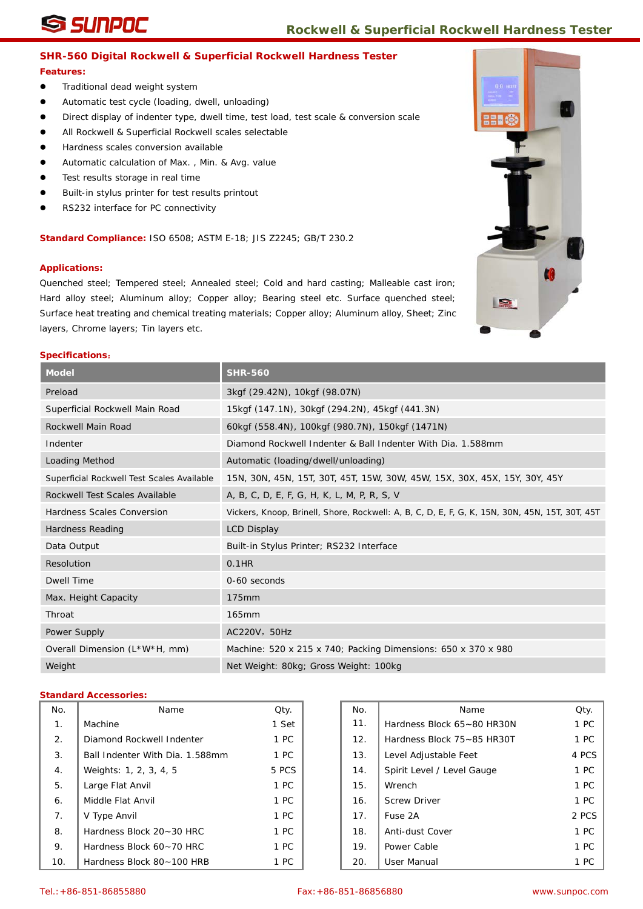## **SHR-560 Digital Rockwell & Superficial Rockwell Hardness Tester**

#### **Features:**

- **•** Traditional dead weight system
- Automatic test cycle (loading, dwell, unloading)
- Direct display of indenter type, dwell time, test load, test scale & conversion scale
- All Rockwell & Superficial Rockwell scales selectable
- Hardness scales conversion available
- Automatic calculation of Max. , Min. & Avg. value
- **•** Test results storage in real time
- Built-in stylus printer for test results printout
- RS232 interface for PC connectivity

**Standard Compliance:** ISO 6508; ASTM E-18; JIS Z2245; GB/T 230.2

#### **Applications:**

Quenched steel; Tempered steel; Annealed steel; Cold and hard casting; Malleable cast iron; Hard alloy steel; Aluminum alloy; Copper alloy; Bearing steel etc. Surface quenched steel; Surface heat treating and chemical treating materials; Copper alloy; Aluminum alloy, Sheet; Zinc layers, Chrome layers; Tin layers etc.

#### **Specifications**:

| <b>Model</b>                               | <b>SHR-560</b>                                                                                 |
|--------------------------------------------|------------------------------------------------------------------------------------------------|
| Preload                                    | 3kgf (29.42N), 10kgf (98.07N)                                                                  |
| Superficial Rockwell Main Road             | 15kgf (147.1N), 30kgf (294.2N), 45kgf (441.3N)                                                 |
| Rockwell Main Road                         | 60kgf (558.4N), 100kgf (980.7N), 150kgf (1471N)                                                |
| Indenter                                   | Diamond Rockwell Indenter & Ball Indenter With Dia, 1,588mm                                    |
| <b>Loading Method</b>                      | Automatic (loading/dwell/unloading)                                                            |
| Superficial Rockwell Test Scales Available | 15N, 30N, 45N, 15T, 30T, 45T, 15W, 30W, 45W, 15X, 30X, 45X, 15Y, 30Y, 45Y                      |
| Rockwell Test Scales Available             | A, B, C, D, E, F, G, H, K, L, M, P, R, S, V                                                    |
| Hardness Scales Conversion                 | Vickers, Knoop, Brinell, Shore, Rockwell: A, B, C, D, E, F, G, K, 15N, 30N, 45N, 15T, 30T, 45T |
| Hardness Reading                           | <b>LCD Display</b>                                                                             |
| Data Output                                | Built-in Stylus Printer; RS232 Interface                                                       |
| Resolution                                 | $0.1$ HR                                                                                       |
| Dwell Time                                 | 0-60 seconds                                                                                   |
| Max. Height Capacity                       | 175mm                                                                                          |
| Throat                                     | 165mm                                                                                          |
| Power Supply                               | AC220V, 50Hz                                                                                   |
| Overall Dimension (L*W*H, mm)              | Machine: 520 x 215 x 740; Packing Dimensions: 650 x 370 x 980                                  |
| Weight                                     | Net Weight: 80kg; Gross Weight: 100kg                                                          |

| No. | Name                            | Qty.  | No. | Name                       | Qty.  |
|-----|---------------------------------|-------|-----|----------------------------|-------|
| 1.  | Machine                         | 1 Set | 11. | Hardness Block 65~80 HR30N | 1 PC  |
| 2.  | Diamond Rockwell Indenter       | 1 PC  | 12. | Hardness Block 75~85 HR30T | 1 PC  |
| 3.  | Ball Indenter With Dia. 1.588mm | 1 PC  | 13. | Level Adjustable Feet      | 4 PC: |
| 4.  | Weights: 1, 2, 3, 4, 5          | 5 PCS | 14. | Spirit Level / Level Gauge | 1 PC  |
| 5.  | Large Flat Anvil                | 1 PC  | 15. | Wrench                     | 1 PC  |
| 6.  | Middle Flat Anvil               | 1 PC  | 16. | <b>Screw Driver</b>        | 1 PC  |
| 7.  | V Type Anvil                    | 1 PC  | 17. | Fuse 2A                    | 2 PC: |
| 8.  | Hardness Block 20~30 HRC        | 1 PC  | 18. | Anti-dust Cover            | 1 PC  |
| 9.  | Hardness Block 60~70 HRC        | 1 PC  | 19. | Power Cable                | 1 PC  |
| 10. | Hardness Block 80~100 HRB       | 1 PC  | 20. | User Manual                | 1 PC  |

| No. | Name                            | Qty.  | No. | Name                       | Qty.  |
|-----|---------------------------------|-------|-----|----------------------------|-------|
| 1.  | Machine                         | 1 Set | 11. | Hardness Block 65~80 HR30N | 1 PC  |
| 2.  | Diamond Rockwell Indenter       | 1 PC  | 12. | Hardness Block 75~85 HR30T | 1 PC  |
| 3.  | Ball Indenter With Dia. 1.588mm | 1 PC  | 13. | Level Adjustable Feet      | 4 PCS |
| 4.  | Weights: 1, 2, 3, 4, 5          | 5 PCS | 14. | Spirit Level / Level Gauge | 1 PC  |
| 5.  | Large Flat Anvil                | 1 PC  | 15. | Wrench                     | 1 PC  |
| 6.  | Middle Flat Anvil               | 1 PC  | 16. | <b>Screw Driver</b>        | 1 PC  |
| 7.  | V Type Anvil                    | 1 PC  | 17. | Fuse 2A                    | 2 PCS |
| 8.  | Hardness Block 20~30 HRC        | 1 PC  | 18. | Anti-dust Cover            | 1 PC  |
| 9.  | Hardness Block 60~70 HRC        | 1 PC  | 19. | Power Cable                | 1 PC  |
| 10. | Hardness Block 80~100 HRB       | 1 PC  | 20. | User Manual                | 1 PC  |

![](_page_15_Picture_21.jpeg)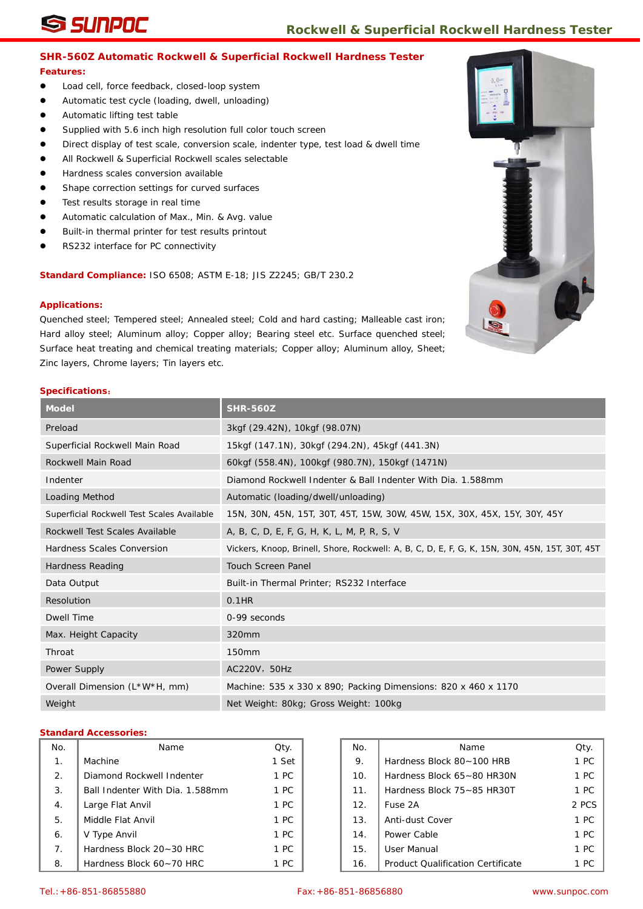# **SHR-560Z Automatic Rockwell & Superficial Rockwell Hardness Tester**

### **Features:**

- $\bullet$  Load cell, force feedback, closed-loop system
- Automatic test cycle (loading, dwell, unloading)
- Automatic lifting test table
- **Supplied with 5.6 inch high resolution full color touch screen**
- Direct display of test scale, conversion scale, indenter type, test load & dwell time
- All Rockwell & Superficial Rockwell scales selectable
- Hardness scales conversion available
- Shape correction settings for curved surfaces
- **•** Test results storage in real time
- Automatic calculation of Max., Min. & Avg. value
- Built-in thermal printer for test results printout
- RS232 interface for PC connectivity

**Standard Compliance:** ISO 6508; ASTM E-18; JIS Z2245; GB/T 230.2

#### **Applications:**

Quenched steel; Tempered steel; Annealed steel; Cold and hard casting; Malleable cast iron; Hard alloy steel; Aluminum alloy; Copper alloy; Bearing steel etc. Surface quenched steel; Surface heat treating and chemical treating materials; Copper alloy; Aluminum alloy, Sheet; Zinc layers, Chrome layers; Tin layers etc.

#### **Specifications**:

| <b>Model</b>                               | <b>SHR-560Z</b>                                                                                |
|--------------------------------------------|------------------------------------------------------------------------------------------------|
| Preload                                    | 3kgf (29.42N), 10kgf (98.07N)                                                                  |
| Superficial Rockwell Main Road             | 15kgf (147.1N), 30kgf (294.2N), 45kgf (441.3N)                                                 |
| Rockwell Main Road                         | 60kgf (558.4N), 100kgf (980.7N), 150kgf (1471N)                                                |
| Indenter                                   | Diamond Rockwell Indenter & Ball Indenter With Dia. 1.588mm                                    |
| <b>Loading Method</b>                      | Automatic (loading/dwell/unloading)                                                            |
| Superficial Rockwell Test Scales Available | 15N, 30N, 45N, 15T, 30T, 45T, 15W, 30W, 45W, 15X, 30X, 45X, 15Y, 30Y, 45Y                      |
| Rockwell Test Scales Available             | A, B, C, D, E, F, G, H, K, L, M, P, R, S, V                                                    |
| Hardness Scales Conversion                 | Vickers, Knoop, Brinell, Shore, Rockwell: A, B, C, D, E, F, G, K, 15N, 30N, 45N, 15T, 30T, 45T |
| Hardness Reading                           | <b>Touch Screen Panel</b>                                                                      |
| Data Output                                | Built-in Thermal Printer; RS232 Interface                                                      |
| Resolution                                 | $0.1$ HR                                                                                       |
| Dwell Time                                 | 0-99 seconds                                                                                   |
| Max. Height Capacity                       | 320mm                                                                                          |
| Throat                                     | 150 <sub>mm</sub>                                                                              |
| Power Supply                               | AC220V, 50Hz                                                                                   |
| Overall Dimension (L*W*H, mm)              | Machine: 535 x 330 x 890; Packing Dimensions: 820 x 460 x 1170                                 |
| Weight                                     | Net Weight: 80kg; Gross Weight: 100kg                                                          |

| No.            | Name                            | Qty.  | No. | Name                                     | Qty.  |
|----------------|---------------------------------|-------|-----|------------------------------------------|-------|
| 1.             | Machine                         | 1 Set | 9.  | Hardness Block 80~100 HRB                | 1 PC  |
| 2.             | Diamond Rockwell Indenter       | 1 PC  | 10. | Hardness Block 65~80 HR30N               | 1 PC  |
| 3.             | Ball Indenter With Dia. 1.588mm | 1 PC  | 11. | Hardness Block 75~85 HR30T               | 1 PC  |
| 4.             | Large Flat Anvil                | 1 PC  | 12. | Fuse 2A                                  | 2 PCS |
| 5.             | Middle Flat Anvil               | 1 PC  | 13. | Anti-dust Cover                          | 1 PC  |
| 6.             | V Type Anvil                    | 1 PC  | 14. | Power Cable                              | 1 PC  |
| 7 <sub>1</sub> | Hardness Block 20~30 HRC        | 1 PC  | 15. | User Manual                              | 1 PC  |
| 8.             | Hardness Block 60~70 HRC        | 1 PC  | 16. | <b>Product Qualification Certificate</b> | 1 PC  |

![](_page_16_Picture_23.jpeg)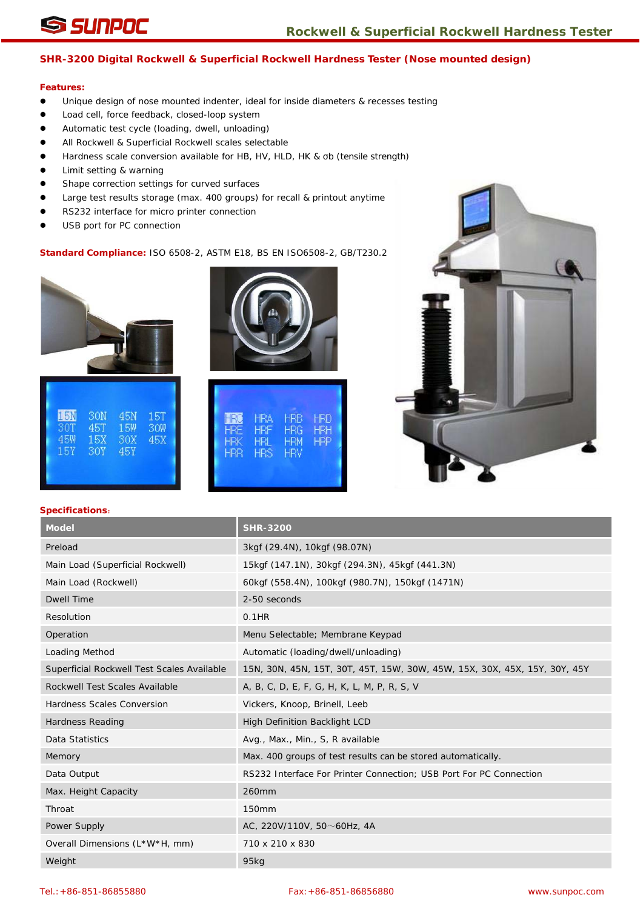# **SHR-3200 Digital Rockwell & Superficial Rockwell Hardness Tester (Nose mounted design)**

# **Features:**

- Unique design of nose mounted indenter, ideal for inside diameters & recesses testing
- Load cell, force feedback, closed-loop system
- Automatic test cycle (loading, dwell, unloading)
- All Rockwell & Superficial Rockwell scales selectable
- Hardness scale conversion available for HB, HV, HLD, HK & σb (tensile strength)
- Limit setting & warning
- **•** Shape correction settings for curved surfaces
- Large test results storage (max. 400 groups) for recall & printout anytime
- RS232 interface for micro printer connection
- USB port for PC connection

# **Standard Compliance:** ISO 6508-2, ASTM E18, BS EN ISO6508-2, GB/T230.2

![](_page_17_Picture_15.jpeg)

| 15N<br>30N<br>15T<br>45N<br>30T<br>45T<br>15W<br>30W<br>30X<br>15X<br><b>30Y</b><br>15Y<br>45Y |
|------------------------------------------------------------------------------------------------|
|------------------------------------------------------------------------------------------------|

![](_page_17_Picture_17.jpeg)

| <b>HRO</b><br><b>HRB</b><br>HRA<br>HRD<br><b>HRE</b><br><b>HRF</b><br><b>HRG</b><br><b>HRH</b><br><b>HRP</b><br><b>HRL</b><br><b>HRM</b><br>HRK<br><b>HRS</b><br><b>HRV</b><br><b>HRR</b> |
|-------------------------------------------------------------------------------------------------------------------------------------------------------------------------------------------|
|-------------------------------------------------------------------------------------------------------------------------------------------------------------------------------------------|

![](_page_17_Picture_19.jpeg)

| <b>Model</b>                               | <b>SHR-3200</b>                                                           |
|--------------------------------------------|---------------------------------------------------------------------------|
| Preload                                    | 3kgf (29.4N), 10kgf (98.07N)                                              |
| Main Load (Superficial Rockwell)           | 15kgf (147.1N), 30kgf (294.3N), 45kgf (441.3N)                            |
| Main Load (Rockwell)                       | 60kgf (558.4N), 100kgf (980.7N), 150kgf (1471N)                           |
| <b>Dwell Time</b>                          | 2-50 seconds                                                              |
| Resolution                                 | $0.1$ HR                                                                  |
| Operation                                  | Menu Selectable; Membrane Keypad                                          |
| Loading Method                             | Automatic (loading/dwell/unloading)                                       |
| Superficial Rockwell Test Scales Available | 15N, 30N, 45N, 15T, 30T, 45T, 15W, 30W, 45W, 15X, 30X, 45X, 15Y, 30Y, 45Y |
| Rockwell Test Scales Available             | A, B, C, D, E, F, G, H, K, L, M, P, R, S, V                               |
| Hardness Scales Conversion                 | Vickers, Knoop, Brinell, Leeb                                             |
| <b>Hardness Reading</b>                    | High Definition Backlight LCD                                             |
| Data Statistics                            | Avg., Max., Min., S, R available                                          |
| Memory                                     | Max. 400 groups of test results can be stored automatically.              |
| Data Output                                | RS232 Interface For Printer Connection; USB Port For PC Connection        |
| Max. Height Capacity                       | 260mm                                                                     |
| Throat                                     | <b>150mm</b>                                                              |
| Power Supply                               | AC, 220V/110V, $50 \sim 60$ Hz, 4A                                        |
| Overall Dimensions (L*W*H, mm)             | 710 x 210 x 830                                                           |
| Weight                                     | 95kg                                                                      |